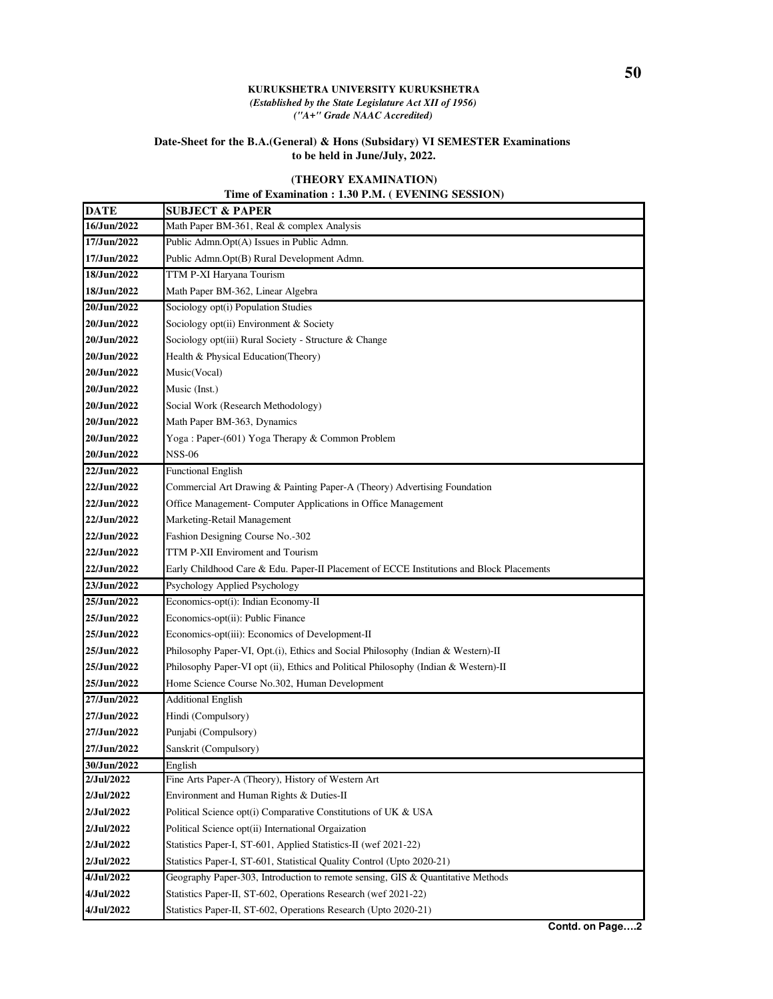## **KURUKSHETRA UNIVERSITY KURUKSHETRA** *(Established by the State Legislature Act XII of 1956) ("A+" Grade NAAC Accredited)*

## **Date-Sheet for the B.A.(General) & Hons (Subsidary) VI SEMESTER Examinations to be held in June/July, 2022.**

## **(THEORY EXAMINATION)**

## **Time of Examination : 1.30 P.M. ( EVENING SESSION)**

| <b>DATE</b> | <b>SUBJECT &amp; PAPER</b>                                                               |
|-------------|------------------------------------------------------------------------------------------|
| 16/Jun/2022 | Math Paper BM-361, Real & complex Analysis                                               |
| 17/Jun/2022 | Public Admn.Opt(A) Issues in Public Admn.                                                |
| 17/Jun/2022 | Public Admn.Opt(B) Rural Development Admn.                                               |
| 18/Jun/2022 | TTM P-XI Haryana Tourism                                                                 |
| 18/Jun/2022 | Math Paper BM-362, Linear Algebra                                                        |
| 20/Jun/2022 | Sociology opt(i) Population Studies                                                      |
| 20/Jun/2022 | Sociology opt(ii) Environment & Society                                                  |
| 20/Jun/2022 | Sociology opt(iii) Rural Society - Structure & Change                                    |
| 20/Jun/2022 | Health & Physical Education(Theory)                                                      |
| 20/Jun/2022 | Music(Vocal)                                                                             |
| 20/Jun/2022 | Music (Inst.)                                                                            |
| 20/Jun/2022 | Social Work (Research Methodology)                                                       |
| 20/Jun/2022 | Math Paper BM-363, Dynamics                                                              |
| 20/Jun/2022 | Yoga: Paper-(601) Yoga Therapy & Common Problem                                          |
| 20/Jun/2022 | <b>NSS-06</b>                                                                            |
| 22/Jun/2022 | <b>Functional English</b>                                                                |
| 22/Jun/2022 | Commercial Art Drawing & Painting Paper-A (Theory) Advertising Foundation                |
| 22/Jun/2022 | Office Management- Computer Applications in Office Management                            |
| 22/Jun/2022 | Marketing-Retail Management                                                              |
| 22/Jun/2022 | Fashion Designing Course No.-302                                                         |
| 22/Jun/2022 | TTM P-XII Enviroment and Tourism                                                         |
| 22/Jun/2022 | Early Childhood Care & Edu. Paper-II Placement of ECCE Institutions and Block Placements |
| 23/Jun/2022 | Psychology Applied Psychology                                                            |
| 25/Jun/2022 | Economics-opt(i): Indian Economy-II                                                      |
| 25/Jun/2022 | Economics-opt(ii): Public Finance                                                        |
| 25/Jun/2022 | Economics-opt(iii): Economics of Development-II                                          |
| 25/Jun/2022 | Philosophy Paper-VI, Opt.(i), Ethics and Social Philosophy (Indian & Western)-II         |
| 25/Jun/2022 | Philosophy Paper-VI opt (ii), Ethics and Political Philosophy (Indian & Western)-II      |
| 25/Jun/2022 | Home Science Course No.302, Human Development                                            |
| 27/Jun/2022 | <b>Additional English</b>                                                                |
| 27/Jun/2022 | Hindi (Compulsory)                                                                       |
| 27/Jun/2022 | Punjabi (Compulsory)                                                                     |
| 27/Jun/2022 | Sanskrit (Compulsory)                                                                    |
| 30/Jun/2022 | English                                                                                  |
| 2/Jul/2022  | Fine Arts Paper-A (Theory), History of Western Art                                       |
| 2/Jul/2022  | Environment and Human Rights & Duties-II                                                 |
| 2/Jul/2022  | Political Science opt(i) Comparative Constitutions of UK & USA                           |
| 2/Jul/2022  | Political Science opt(ii) International Orgaization                                      |
| 2/Jul/2022  | Statistics Paper-I, ST-601, Applied Statistics-II (wef 2021-22)                          |
| 2/Jul/2022  | Statistics Paper-I, ST-601, Statistical Quality Control (Upto 2020-21)                   |
| 4/Jul/2022  | Geography Paper-303, Introduction to remote sensing, GIS & Quantitative Methods          |
| 4/Jul/2022  | Statistics Paper-II, ST-602, Operations Research (wef 2021-22)                           |
| 4/Jul/2022  | Statistics Paper-II, ST-602, Operations Research (Upto 2020-21)                          |

**Contd. on Page….2**